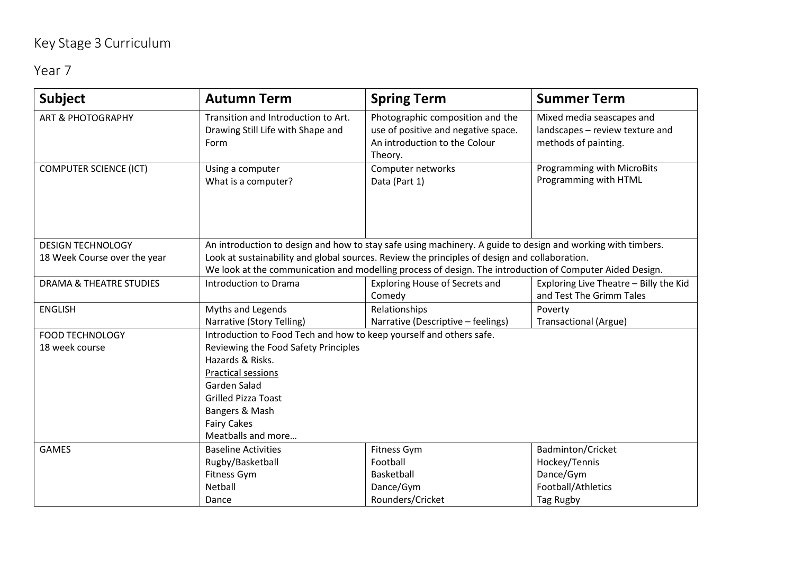## Key Stage 3 Curriculum

Year 7

| <b>Subject</b>                                           | <b>Autumn Term</b>                                                                                                                                                                                                                                                                                                       | <b>Spring Term</b>                                                                                                  | <b>Summer Term</b>                                                                   |  |
|----------------------------------------------------------|--------------------------------------------------------------------------------------------------------------------------------------------------------------------------------------------------------------------------------------------------------------------------------------------------------------------------|---------------------------------------------------------------------------------------------------------------------|--------------------------------------------------------------------------------------|--|
| <b>ART &amp; PHOTOGRAPHY</b>                             | Transition and Introduction to Art.<br>Drawing Still Life with Shape and<br>Form                                                                                                                                                                                                                                         | Photographic composition and the<br>use of positive and negative space.<br>An introduction to the Colour<br>Theory. | Mixed media seascapes and<br>landscapes - review texture and<br>methods of painting. |  |
| <b>COMPUTER SCIENCE (ICT)</b>                            | Using a computer<br>What is a computer?                                                                                                                                                                                                                                                                                  | Computer networks<br>Data (Part 1)                                                                                  | <b>Programming with MicroBits</b><br>Programming with HTML                           |  |
| <b>DESIGN TECHNOLOGY</b><br>18 Week Course over the year | An introduction to design and how to stay safe using machinery. A guide to design and working with timbers.<br>Look at sustainability and global sources. Review the principles of design and collaboration.<br>We look at the communication and modelling process of design. The introduction of Computer Aided Design. |                                                                                                                     |                                                                                      |  |
| <b>DRAMA &amp; THEATRE STUDIES</b>                       | Introduction to Drama                                                                                                                                                                                                                                                                                                    | <b>Exploring House of Secrets and</b><br>Comedy                                                                     | Exploring Live Theatre - Billy the Kid<br>and Test The Grimm Tales                   |  |
| <b>ENGLISH</b>                                           | Myths and Legends<br>Narrative (Story Telling)                                                                                                                                                                                                                                                                           | Relationships<br>Narrative (Descriptive - feelings)                                                                 | Poverty<br><b>Transactional (Argue)</b>                                              |  |
| <b>FOOD TECHNOLOGY</b><br>18 week course                 | Introduction to Food Tech and how to keep yourself and others safe.<br>Reviewing the Food Safety Principles<br>Hazards & Risks.<br><b>Practical sessions</b><br>Garden Salad<br><b>Grilled Pizza Toast</b><br>Bangers & Mash<br><b>Fairy Cakes</b><br>Meatballs and more                                                 |                                                                                                                     |                                                                                      |  |
| <b>GAMES</b>                                             | <b>Baseline Activities</b><br>Rugby/Basketball<br>Fitness Gym<br>Netball<br>Dance                                                                                                                                                                                                                                        | Fitness Gym<br>Football<br>Basketball<br>Dance/Gym<br>Rounders/Cricket                                              | Badminton/Cricket<br>Hockey/Tennis<br>Dance/Gym<br>Football/Athletics<br>Tag Rugby   |  |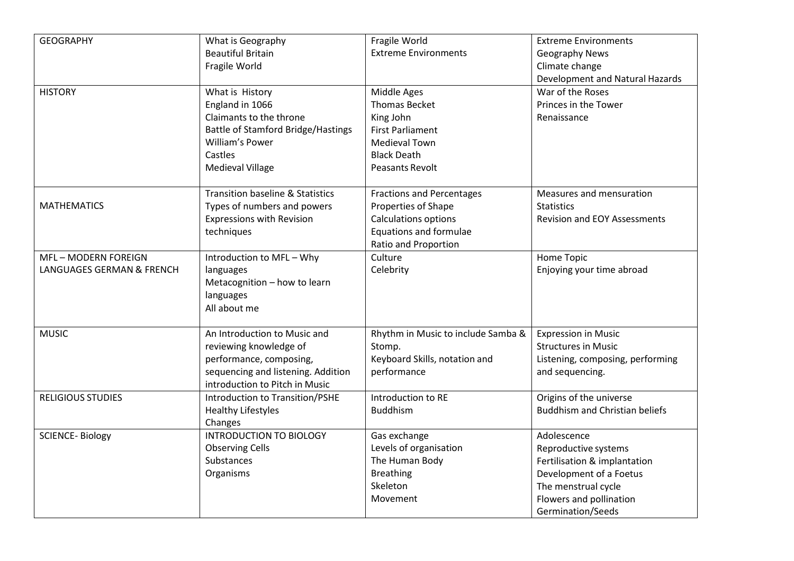| <b>GEOGRAPHY</b>          | What is Geography                           | Fragile World                      | <b>Extreme Environments</b>           |
|---------------------------|---------------------------------------------|------------------------------------|---------------------------------------|
|                           | <b>Beautiful Britain</b>                    | <b>Extreme Environments</b>        | <b>Geography News</b>                 |
|                           | Fragile World                               |                                    | Climate change                        |
|                           |                                             |                                    | Development and Natural Hazards       |
| <b>HISTORY</b>            | What is History                             | Middle Ages                        | War of the Roses                      |
|                           | England in 1066                             | <b>Thomas Becket</b>               | Princes in the Tower                  |
|                           | Claimants to the throne                     | King John                          | Renaissance                           |
|                           | Battle of Stamford Bridge/Hastings          | <b>First Parliament</b>            |                                       |
|                           | William's Power                             | Medieval Town                      |                                       |
|                           | Castles                                     | <b>Black Death</b>                 |                                       |
|                           | <b>Medieval Village</b>                     | Peasants Revolt                    |                                       |
|                           |                                             |                                    |                                       |
|                           | <b>Transition baseline &amp; Statistics</b> | <b>Fractions and Percentages</b>   | Measures and mensuration              |
| <b>MATHEMATICS</b>        | Types of numbers and powers                 | Properties of Shape                | <b>Statistics</b>                     |
|                           | <b>Expressions with Revision</b>            | Calculations options               | <b>Revision and EOY Assessments</b>   |
|                           | techniques                                  | <b>Equations and formulae</b>      |                                       |
|                           |                                             | Ratio and Proportion               |                                       |
| MFL-MODERN FOREIGN        | Introduction to MFL - Why                   | Culture                            | Home Topic                            |
| LANGUAGES GERMAN & FRENCH | languages                                   | Celebrity                          | Enjoying your time abroad             |
|                           | Metacognition - how to learn                |                                    |                                       |
|                           | languages                                   |                                    |                                       |
|                           | All about me                                |                                    |                                       |
|                           |                                             |                                    |                                       |
| <b>MUSIC</b>              | An Introduction to Music and                | Rhythm in Music to include Samba & | <b>Expression in Music</b>            |
|                           | reviewing knowledge of                      | Stomp.                             | <b>Structures in Music</b>            |
|                           | performance, composing,                     | Keyboard Skills, notation and      | Listening, composing, performing      |
|                           | sequencing and listening. Addition          | performance                        | and sequencing.                       |
|                           | introduction to Pitch in Music              |                                    |                                       |
| <b>RELIGIOUS STUDIES</b>  | Introduction to Transition/PSHE             | Introduction to RE                 | Origins of the universe               |
|                           | <b>Healthy Lifestyles</b>                   | <b>Buddhism</b>                    | <b>Buddhism and Christian beliefs</b> |
|                           | Changes                                     |                                    |                                       |
| <b>SCIENCE-Biology</b>    | <b>INTRODUCTION TO BIOLOGY</b>              | Gas exchange                       | Adolescence                           |
|                           | <b>Observing Cells</b>                      | Levels of organisation             | Reproductive systems                  |
|                           | Substances                                  | The Human Body                     | Fertilisation & implantation          |
|                           | Organisms                                   | <b>Breathing</b>                   | Development of a Foetus               |
|                           |                                             | Skeleton                           | The menstrual cycle                   |
|                           |                                             | Movement                           | Flowers and pollination               |
|                           |                                             |                                    | Germination/Seeds                     |